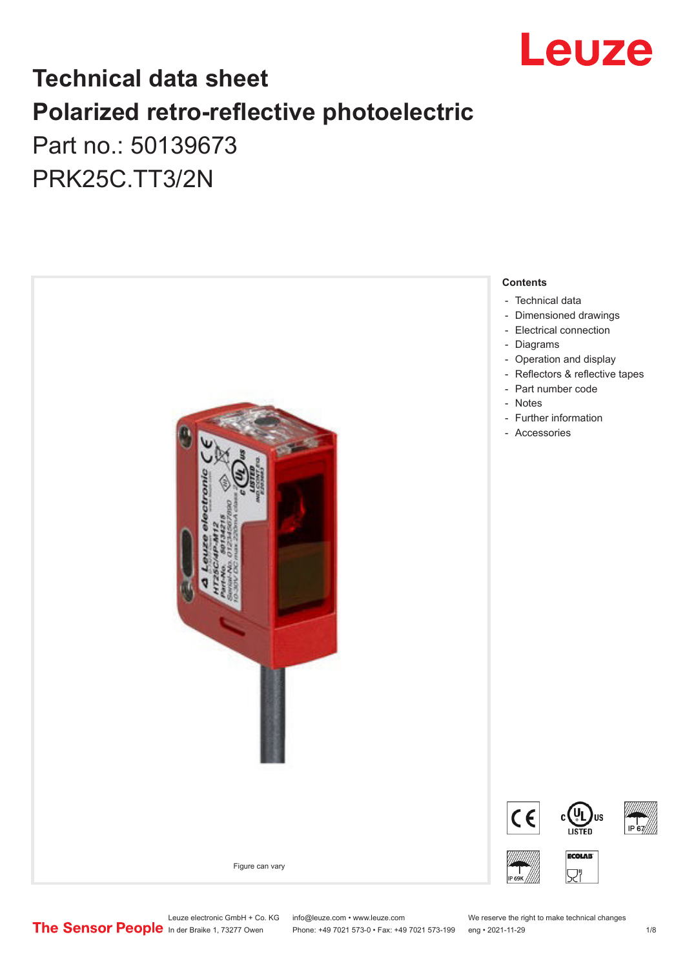

## **Technical data sheet Polarized retro-reflective photoelectric**  Part no.: 50139673

PRK25C.TT3/2N



Leuze electronic GmbH + Co. KG info@leuze.com • www.leuze.com We reserve the right to make technical changes<br>
The Sensor People in der Braike 1, 73277 Owen Phone: +49 7021 573-0 • Fax: +49 7021 573-199 eng • 2021-11-29

Phone: +49 7021 573-0 • Fax: +49 7021 573-199 eng • 2021-11-29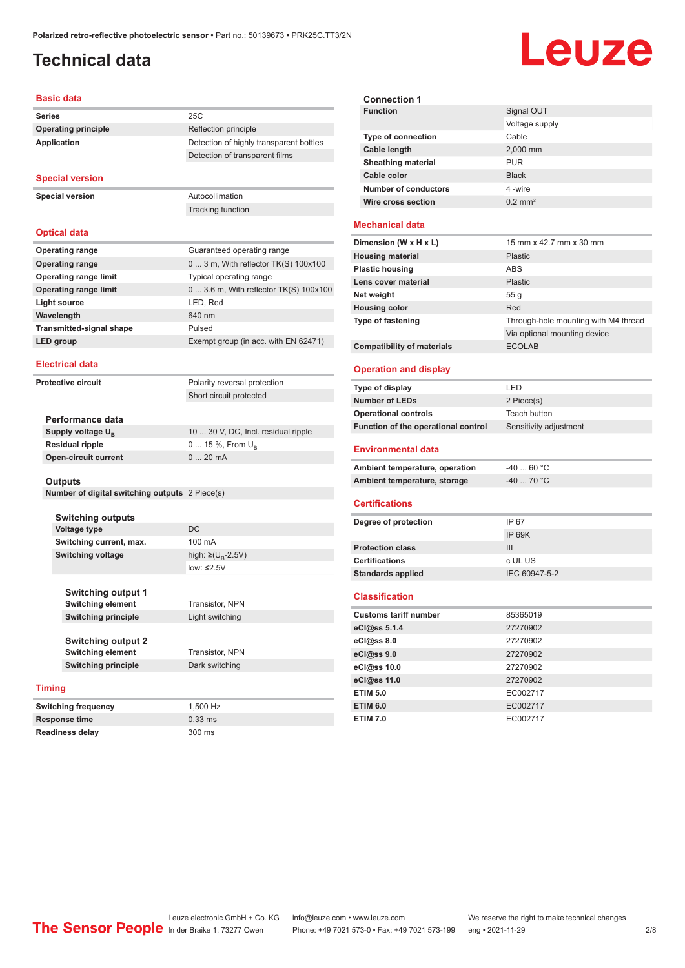## <span id="page-1-0"></span>**Technical data**

# Leuze

#### **Basic data**

| <b>Series</b>              | 25C                                     |
|----------------------------|-----------------------------------------|
| <b>Operating principle</b> | Reflection principle                    |
| Application                | Detection of highly transparent bottles |
|                            | Detection of transparent films          |
| <b>Special version</b>     |                                         |

**Special version** Autocollimation

#### **Optical data**

| <b>Operating range</b>          | Guaranteed operating range             |
|---------------------------------|----------------------------------------|
| <b>Operating range</b>          | $03$ m, With reflector TK(S) $100x100$ |
| <b>Operating range limit</b>    | Typical operating range                |
| <b>Operating range limit</b>    | 0  3.6 m, With reflector TK(S) 100x100 |
| Light source                    | LED, Red                               |
| Wavelength                      | 640 nm                                 |
| <b>Transmitted-signal shape</b> | Pulsed                                 |
| LED group                       | Exempt group (in acc. with EN 62471)   |

Tracking function

#### **Electrical data**

**Protective circuit** Polarity reversal protection

Short circuit protected

| Performance data              |                                     |
|-------------------------------|-------------------------------------|
| Supply voltage U <sub>n</sub> | 10  30 V, DC, Incl. residual ripple |
| Residual ripple               | $0$ 15 %, From $U_{\rm B}$          |
| Open-circuit current          | $020$ mA                            |
|                               |                                     |

#### **Outputs**

**Number of digital switching outputs** 2 Piece(s)

| <b>Switching outputs</b> |                         |
|--------------------------|-------------------------|
| <b>Voltage type</b>      | DC.                     |
| Switching current, max.  | 100 mA                  |
| <b>Switching voltage</b> | high: ≥( $U_p - 2.5V$ ) |
|                          |                         |

**Switching current, max.** 100 mA low: ≤2.5V

**Switching output 1 Switching element** Transistor, NPN **Switching principle** Light switching

**Switching output 2 Switching element** Transistor, NPN **Switching principle** Dark switching

#### **Timing**

**Switching frequency** 1,500 Hz **Response time** 0.33 ms **Readiness delay** 300 ms

| <b>Connection 1</b>         |                       |
|-----------------------------|-----------------------|
| <b>Function</b>             | Signal OUT            |
|                             | Voltage supply        |
| <b>Type of connection</b>   | Cable                 |
| Cable length                | 2,000 mm              |
| <b>Sheathing material</b>   | <b>PUR</b>            |
| Cable color                 | <b>Black</b>          |
| <b>Number of conductors</b> | 4-wire                |
| <b>Wire cross section</b>   | $0.2$ mm <sup>2</sup> |

#### **Mechanical data**

| Dimension (W x H x L)             | 15 mm x 42.7 mm x 30 mm              |
|-----------------------------------|--------------------------------------|
| <b>Housing material</b>           | <b>Plastic</b>                       |
| <b>Plastic housing</b>            | ABS                                  |
| Lens cover material               | <b>Plastic</b>                       |
| Net weight                        | 55q                                  |
| <b>Housing color</b>              | Red                                  |
| <b>Type of fastening</b>          | Through-hole mounting with M4 thread |
|                                   | Via optional mounting device         |
| <b>Compatibility of materials</b> | <b>ECOLAB</b>                        |

#### **Operation and display**

| Type of display                     | LED                    |
|-------------------------------------|------------------------|
| <b>Number of LEDs</b>               | 2 Piece(s)             |
| <b>Operational controls</b>         | Teach button           |
| Function of the operational control | Sensitivity adjustment |
| <b>Environmental data</b>           |                        |
| Ambient temperature, operation      | $-4060 °C$             |
| Ambient temperature, storage        | $-40$ 70 °C            |

#### **Certifications**

| Degree of protection     | IP 67         |
|--------------------------|---------------|
|                          | IP 69K        |
| <b>Protection class</b>  | Ш             |
| <b>Certifications</b>    | c UL US       |
| <b>Standards applied</b> | IEC 60947-5-2 |
|                          |               |

#### **Classification**

| <b>Customs tariff number</b> | 85365019 |
|------------------------------|----------|
| eCl@ss 5.1.4                 | 27270902 |
| eCl@ss 8.0                   | 27270902 |
| eCl@ss 9.0                   | 27270902 |
| eCl@ss 10.0                  | 27270902 |
| eCl@ss 11.0                  | 27270902 |
| <b>ETIM 5.0</b>              | EC002717 |
| <b>ETIM 6.0</b>              | EC002717 |
| <b>ETIM 7.0</b>              | EC002717 |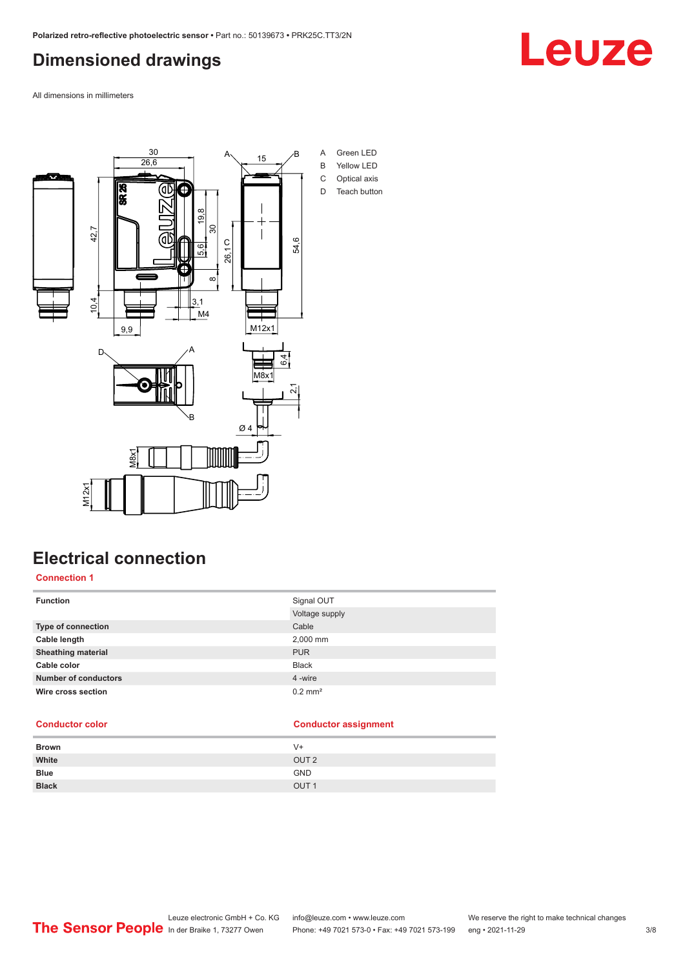## <span id="page-2-0"></span>**Dimensioned drawings**

Leuze

All dimensions in millimeters



## **Electrical connection**

**Connection 1**

| <b>Function</b>             | Signal OUT            |
|-----------------------------|-----------------------|
|                             | Voltage supply        |
| <b>Type of connection</b>   | Cable                 |
| Cable length                | 2,000 mm              |
| <b>Sheathing material</b>   | <b>PUR</b>            |
| Cable color                 | <b>Black</b>          |
| <b>Number of conductors</b> | 4 -wire               |
| Wire cross section          | $0.2$ mm <sup>2</sup> |
|                             |                       |

#### **Conductor color Conductor assignment**

| <b>Brown</b> | V+               |
|--------------|------------------|
| White        | OUT <sub>2</sub> |
| <b>Blue</b>  | <b>GND</b>       |
| <b>Black</b> | OUT <sub>1</sub> |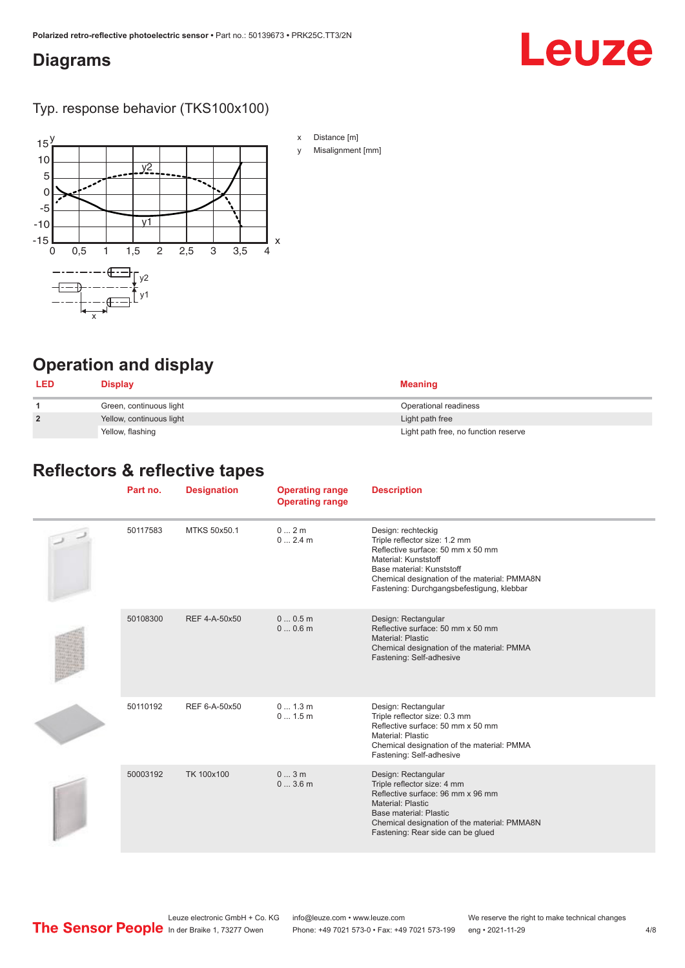#### <span id="page-3-0"></span>**Diagrams**

## Leuze

Typ. response behavior (TKS100x100)



- x Distance [m]
- y Misalignment [mm]

## **Operation and display**

| <b>LED</b>     | <b>Display</b>           | Meaning                              |
|----------------|--------------------------|--------------------------------------|
|                | Green, continuous light  | Operational readiness                |
| $\overline{2}$ | Yellow, continuous light | Light path free                      |
|                | Yellow, flashing         | Light path free, no function reserve |

#### **Reflectors & reflective tapes**

| Part no. | <b>Designation</b> | <b>Operating range</b><br><b>Operating range</b> | <b>Description</b>                                                                                                                                                                                                                         |
|----------|--------------------|--------------------------------------------------|--------------------------------------------------------------------------------------------------------------------------------------------------------------------------------------------------------------------------------------------|
| 50117583 | MTKS 50x50.1       | 0 2m<br>02.4m                                    | Design: rechteckig<br>Triple reflector size: 1.2 mm<br>Reflective surface: 50 mm x 50 mm<br>Material: Kunststoff<br>Base material: Kunststoff<br>Chemical designation of the material: PMMA8N<br>Fastening: Durchgangsbefestigung, klebbar |
| 50108300 | REF 4-A-50x50      | 00.5m<br>00.6m                                   | Design: Rectangular<br>Reflective surface: 50 mm x 50 mm<br>Material: Plastic<br>Chemical designation of the material: PMMA<br>Fastening: Self-adhesive                                                                                    |
| 50110192 | REF 6-A-50x50      | 0 1.3 m<br>01.5m                                 | Design: Rectangular<br>Triple reflector size: 0.3 mm<br>Reflective surface: 50 mm x 50 mm<br>Material: Plastic<br>Chemical designation of the material: PMMA<br>Fastening: Self-adhesive                                                   |
| 50003192 | TK 100x100         | 03m<br>03.6m                                     | Design: Rectangular<br>Triple reflector size: 4 mm<br>Reflective surface: 96 mm x 96 mm<br>Material: Plastic<br>Base material: Plastic<br>Chemical designation of the material: PMMA8N<br>Fastening: Rear side can be glued                |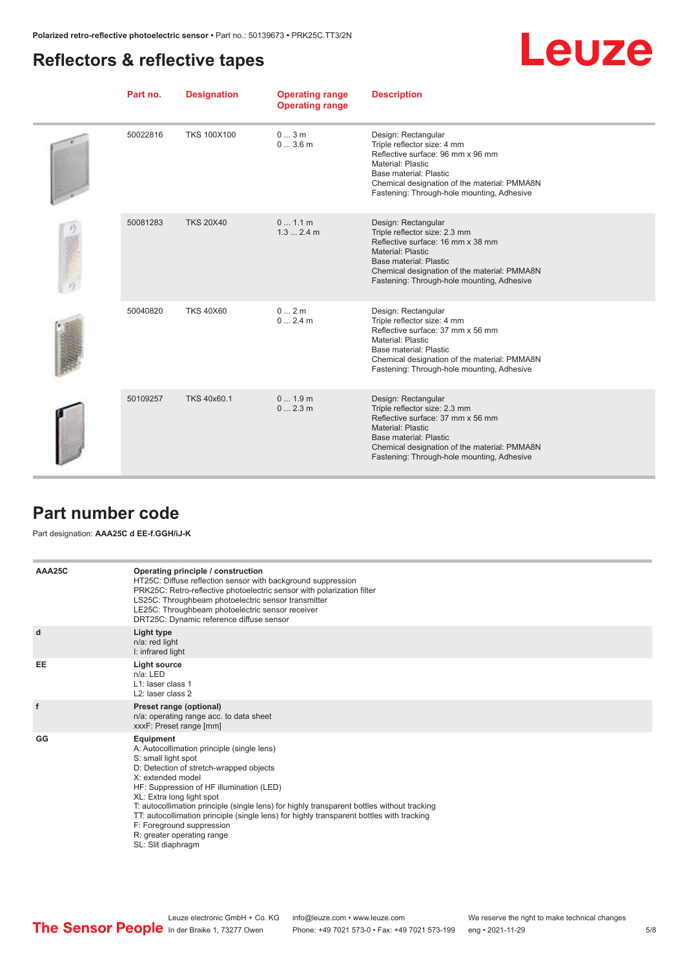### <span id="page-4-0"></span>**Reflectors & reflective tapes**

|--|

| Part no. | <b>Designation</b> | <b>Operating range</b><br><b>Operating range</b> | <b>Description</b>                                                                                                                                                                                                                                   |
|----------|--------------------|--------------------------------------------------|------------------------------------------------------------------------------------------------------------------------------------------------------------------------------------------------------------------------------------------------------|
| 50022816 | <b>TKS 100X100</b> | 03m<br>03.6m                                     | Design: Rectangular<br>Triple reflector size: 4 mm<br>Reflective surface: 96 mm x 96 mm<br>Material: Plastic<br>Base material: Plastic<br>Chemical designation of the material: PMMA8N<br>Fastening: Through-hole mounting, Adhesive                 |
| 50081283 | <b>TKS 20X40</b>   | 01.1 m<br>1.32.4m                                | Design: Rectangular<br>Triple reflector size: 2.3 mm<br>Reflective surface: 16 mm x 38 mm<br>Material: Plastic<br>Base material: Plastic<br>Chemical designation of the material: PMMA8N<br>Fastening: Through-hole mounting, Adhesive               |
| 50040820 | <b>TKS 40X60</b>   | 02m<br>02.4m                                     | Design: Rectangular<br>Triple reflector size: 4 mm<br>Reflective surface: 37 mm x 56 mm<br><b>Material: Plastic</b><br>Base material: Plastic<br>Chemical designation of the material: PMMA8N<br>Fastening: Through-hole mounting, Adhesive          |
| 50109257 | TKS 40x60.1        | 01.9m<br>02.3m                                   | Design: Rectangular<br>Triple reflector size: 2.3 mm<br>Reflective surface: 37 mm x 56 mm<br><b>Material: Plastic</b><br><b>Base material: Plastic</b><br>Chemical designation of the material: PMMA8N<br>Fastening: Through-hole mounting, Adhesive |

#### **Part number code**

#### Part designation: **AAA25C d EE-f.GGH/iJ-K**

| AAA25C | Operating principle / construction<br>HT25C: Diffuse reflection sensor with background suppression<br>PRK25C: Retro-reflective photoelectric sensor with polarization filter<br>LS25C: Throughbeam photoelectric sensor transmitter<br>LE25C: Throughbeam photoelectric sensor receiver<br>DRT25C: Dynamic reference diffuse sensor                                                                                                                                                                |
|--------|----------------------------------------------------------------------------------------------------------------------------------------------------------------------------------------------------------------------------------------------------------------------------------------------------------------------------------------------------------------------------------------------------------------------------------------------------------------------------------------------------|
| d      | Light type<br>n/a: red light<br>I: infrared light                                                                                                                                                                                                                                                                                                                                                                                                                                                  |
| EE     | Light source<br>$n/a$ : LED<br>L1: laser class 1<br>L <sub>2</sub> : laser class 2                                                                                                                                                                                                                                                                                                                                                                                                                 |
| f      | Preset range (optional)<br>n/a: operating range acc. to data sheet<br>xxxF: Preset range [mm]                                                                                                                                                                                                                                                                                                                                                                                                      |
| GG     | Equipment<br>A: Autocollimation principle (single lens)<br>S: small light spot<br>D: Detection of stretch-wrapped objects<br>X: extended model<br>HF: Suppression of HF illumination (LED)<br>XL: Extra long light spot<br>T: autocollimation principle (single lens) for highly transparent bottles without tracking<br>TT: autocollimation principle (single lens) for highly transparent bottles with tracking<br>F: Foreground suppression<br>R: greater operating range<br>SL: Slit diaphragm |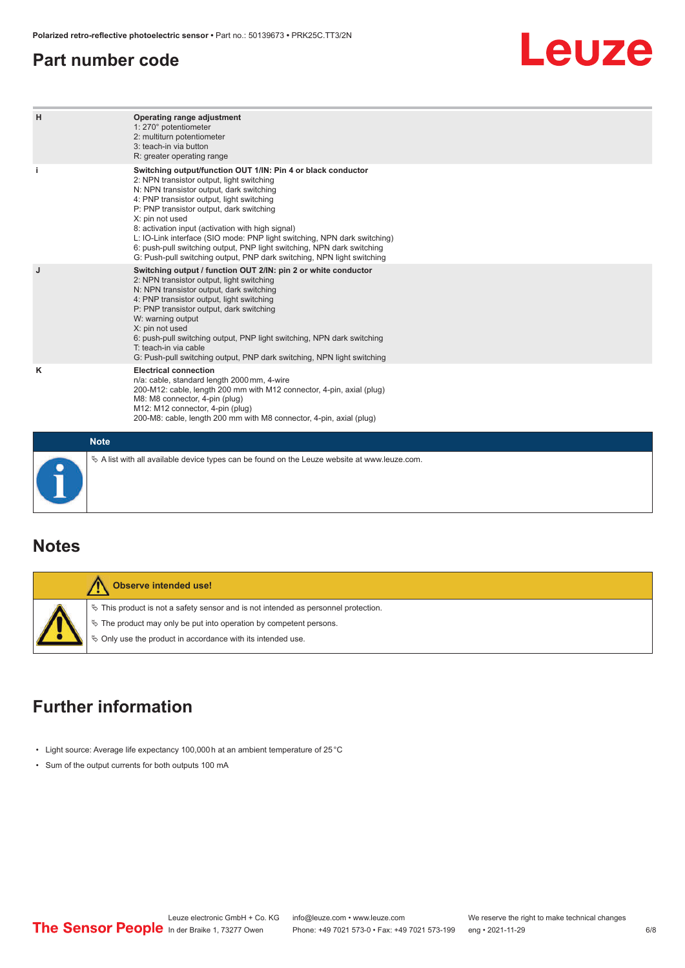#### <span id="page-5-0"></span>**Part number code**

## Leuze

| H  | Operating range adjustment<br>1: 270° potentiometer<br>2: multiturn potentiometer<br>3: teach-in via button<br>R: greater operating range                                                                                                                                                                                                                                                                                                                                                                                                              |
|----|--------------------------------------------------------------------------------------------------------------------------------------------------------------------------------------------------------------------------------------------------------------------------------------------------------------------------------------------------------------------------------------------------------------------------------------------------------------------------------------------------------------------------------------------------------|
| j. | Switching output/function OUT 1/IN: Pin 4 or black conductor<br>2: NPN transistor output, light switching<br>N: NPN transistor output, dark switching<br>4: PNP transistor output, light switching<br>P: PNP transistor output, dark switching<br>X: pin not used<br>8: activation input (activation with high signal)<br>L: IO-Link interface (SIO mode: PNP light switching, NPN dark switching)<br>6: push-pull switching output, PNP light switching, NPN dark switching<br>G: Push-pull switching output, PNP dark switching, NPN light switching |
| J  | Switching output / function OUT 2/IN: pin 2 or white conductor<br>2: NPN transistor output, light switching<br>N: NPN transistor output, dark switching<br>4: PNP transistor output, light switching<br>P: PNP transistor output, dark switching<br>W: warning output<br>X: pin not used<br>6: push-pull switching output, PNP light switching, NPN dark switching<br>T: teach-in via cable<br>G: Push-pull switching output, PNP dark switching, NPN light switching                                                                                  |
| κ  | <b>Electrical connection</b><br>n/a: cable, standard length 2000 mm, 4-wire<br>200-M12: cable, length 200 mm with M12 connector, 4-pin, axial (plug)<br>M8: M8 connector, 4-pin (plug)<br>M12: M12 connector, 4-pin (plug)<br>200-M8: cable, length 200 mm with M8 connector, 4-pin, axial (plug)                                                                                                                                                                                                                                                      |
|    | <b>Note</b>                                                                                                                                                                                                                                                                                                                                                                                                                                                                                                                                            |
|    | $\&$ A list with all available device types can be found on the Leuze website at www.leuze.com.                                                                                                                                                                                                                                                                                                                                                                                                                                                        |

#### **Notes**

| Observe intended use!                                                                                                                                                                                                            |
|----------------------------------------------------------------------------------------------------------------------------------------------------------------------------------------------------------------------------------|
| $\%$ This product is not a safety sensor and is not intended as personnel protection.<br>$\&$ The product may only be put into operation by competent persons.<br>$\&$ Only use the product in accordance with its intended use. |

## **Further information**

- Light source: Average life expectancy 100,000 h at an ambient temperature of 25 °C
- Sum of the output currents for both outputs 100 mA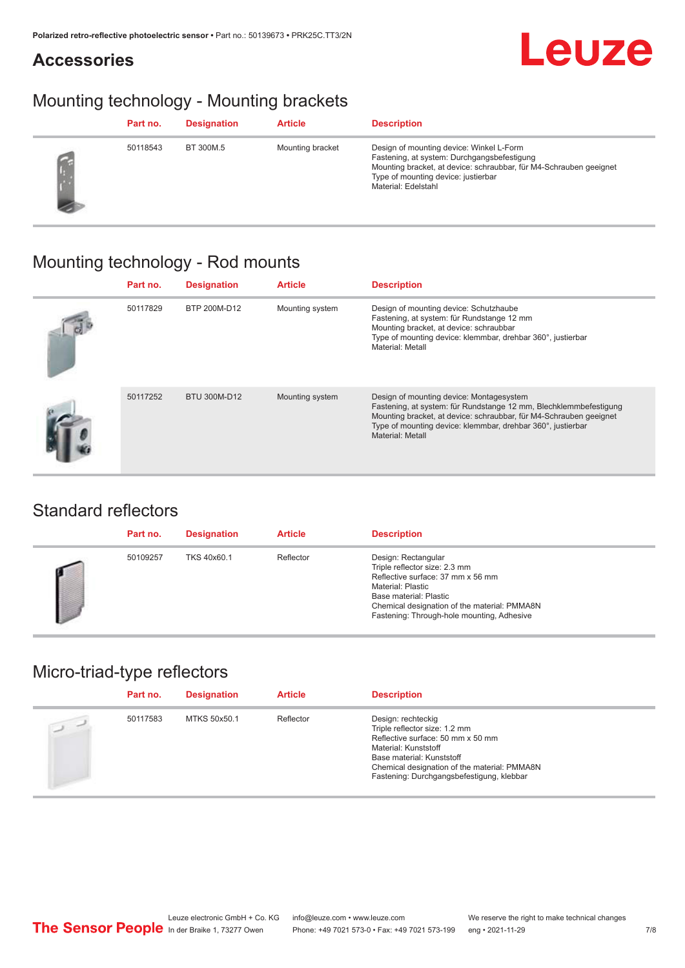### **Accessories**

## Mounting technology - Mounting brackets

| Part no. | <b>Designation</b> | <b>Article</b>   | <b>Description</b>                                                                                                                                                                                                          |
|----------|--------------------|------------------|-----------------------------------------------------------------------------------------------------------------------------------------------------------------------------------------------------------------------------|
| 50118543 | BT 300M.5          | Mounting bracket | Design of mounting device: Winkel L-Form<br>Fastening, at system: Durchgangsbefestigung<br>Mounting bracket, at device: schraubbar, für M4-Schrauben geeignet<br>Type of mounting device: justierbar<br>Material: Edelstahl |

## Mounting technology - Rod mounts

| Part no. | <b>Designation</b> | <b>Article</b>  | <b>Description</b>                                                                                                                                                                                                                                                     |
|----------|--------------------|-----------------|------------------------------------------------------------------------------------------------------------------------------------------------------------------------------------------------------------------------------------------------------------------------|
| 50117829 | BTP 200M-D12       | Mounting system | Design of mounting device: Schutzhaube<br>Fastening, at system: für Rundstange 12 mm<br>Mounting bracket, at device: schraubbar<br>Type of mounting device: klemmbar, drehbar 360°, justierbar<br>Material: Metall                                                     |
| 50117252 | BTU 300M-D12       | Mounting system | Design of mounting device: Montagesystem<br>Fastening, at system: für Rundstange 12 mm, Blechklemmbefestigung<br>Mounting bracket, at device: schraubbar, für M4-Schrauben geeignet<br>Type of mounting device: klemmbar, drehbar 360°, justierbar<br>Material: Metall |

#### Standard reflectors

| Part no. | <b>Designation</b> | <b>Article</b> | <b>Description</b>                                                                                                                                                                                                                            |
|----------|--------------------|----------------|-----------------------------------------------------------------------------------------------------------------------------------------------------------------------------------------------------------------------------------------------|
| 50109257 | TKS 40x60.1        | Reflector      | Design: Rectangular<br>Triple reflector size: 2.3 mm<br>Reflective surface: 37 mm x 56 mm<br><b>Material: Plastic</b><br>Base material: Plastic<br>Chemical designation of the material: PMMA8N<br>Fastening: Through-hole mounting, Adhesive |

## Micro-triad-type reflectors

| Part no. | <b>Designation</b> | <b>Article</b> | <b>Description</b>                                                                                                                                                                                                                         |
|----------|--------------------|----------------|--------------------------------------------------------------------------------------------------------------------------------------------------------------------------------------------------------------------------------------------|
| 50117583 | MTKS 50x50.1       | Reflector      | Design: rechteckig<br>Triple reflector size: 1.2 mm<br>Reflective surface: 50 mm x 50 mm<br>Material: Kunststoff<br>Base material: Kunststoff<br>Chemical designation of the material: PMMA8N<br>Fastening: Durchgangsbefestigung, klebbar |